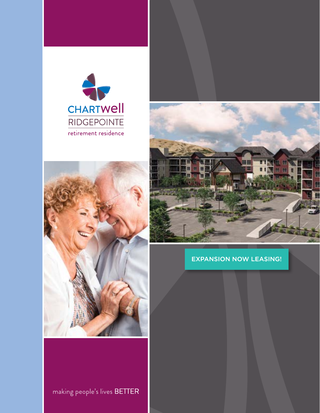







### **EXPANSION NOW LEASING!**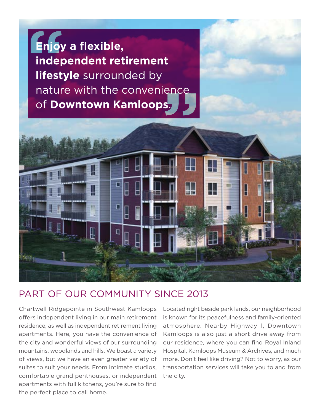



### PART OF OUR COMMUNITY SINCE 2013

Chartwell Ridgepointe in Southwest Kamloops Located right beside park lands, our neighborhood offers independent living in our main retirement is known for its peacefulness and family-oriented residence, as well as independent retirement living atmosphere. Nearby Highway 1, Downtown apartments. Here, you have the convenience of Kamloops is also just a short drive away from the city and wonderful views of our surrounding our residence, where you can fnd Royal Inland mountains, woodlands and hills. We boast a variety Hospital, Kamloops Museum & Archives, and much of views, but we have an even greater variety of more. Don't feel like driving? Not to worry, as our suites to suit your needs. From intimate studios, transportation services will take you to and from comfortable grand penthouses, or independent the city. apartments with full kitchens, you're sure to find the perfect place to call home.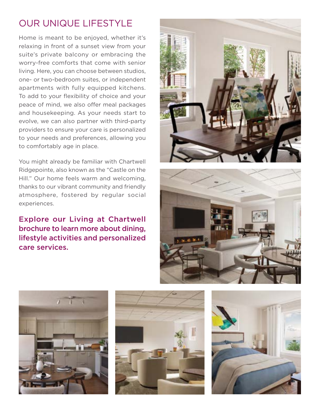# OUR UNIQUE LIFESTYLE

Home is meant to be enjoyed, whether it's relaxing in front of a sunset view from your suite's private balcony or embracing the worry-free comforts that come with senior living. Here, you can choose between studios, one- or two-bedroom suites, or independent apartments with fully equipped kitchens. To add to your flexibility of choice and your peace of mind, we also offer meal packages and housekeeping. As your needs start to evolve, we can also partner with third-party providers to ensure your care is personalized to your needs and preferences, allowing you to comfortably age in place.

You might already be familiar with Chartwell Ridgepointe, also known as the "Castle on the Hill." Our home feels warm and welcoming, thanks to our vibrant community and friendly atmosphere, fostered by regular social experiences.

Explore our Living at Chartwell brochure to learn more about dining, lifestyle activities and personalized care services.









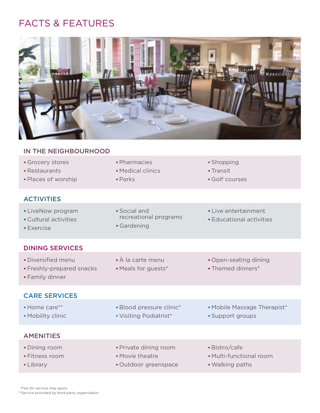# FACTS & FEATURES



#### IN THE NEIGHBOURHOOD

- Grocery stores **Shopping Crocery stores Shopping**
- **Restaurants Medical clinics Transit**
- Places of worship Parks Golf courses

#### **ACTIVITIES**

- LiveNow program Social and Social and Live entertainment
- Cultural activities *Educational programs* Educational activities
- Gardening Exercise

#### DINING SERVICES

- Diversified menu À la carte menu Open-seating dining
- Freshly-prepared snacks Meals for guests\* Themed dinners\*
- Family dinner

#### CARE SERVICES

- 
- -
- AMENITIES
- Dining room  **Private dining room** Bistro/cafe
- 
- 
- 
- 
- 
- Home care\*\* The summary is a Blood pressure clinic\* The Mobile Massage Therapist\*
- Mobility clinic **Visiting Podiatrist\* Visiting Podiatrist Visiting Podiatrist Visiting Podiatrist Visiting Podiatrist Visiting Podiatrist Visiting Podiatrist Visiting Podiatrist Visiting Podiatrist Visi** 
	-
- Fitness room Movie theatre Multi-functional room
- **Library Communist Contract Contract Contract Contract Contract Contract Contract Contract Contract Contract Co**

\*Fee-for-service may apply. \*\*Service provided by third party organization